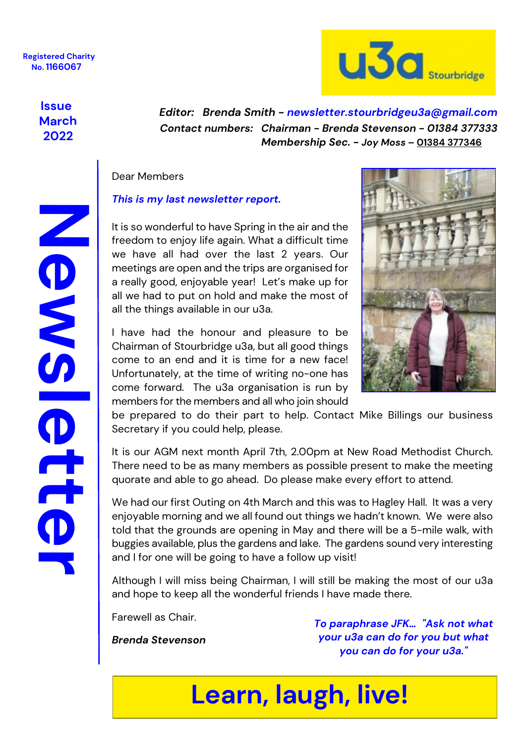

### **Issue March 2022**

 *Contact numbers: Chairman - Brenda Stevenson - 01384 377333 Membership Sec. - Joy Moss* **– 01384 377346**  *Editor: Brenda Smith - [newsletter.stourbridgeu3a@gmail.com](mailto:newsletter.stourbridgeu3a@gmail.com)*

#### Dear Members

#### *This is my last newsletter report.*

It is so wonderful to have Spring in the air and the freedom to enjoy life again. What a difficult time we have all had over the last 2 years. Our meetings are open and the trips are organised for a really good, enjoyable year! Let's make up for all we had to put on hold and make the most of all the things available in our u3a.

I have had the honour and pleasure to be Chairman of Stourbridge u3a, but all good things come to an end and it is time for a new face! Unfortunately, at the time of writing no-one has come forward. The u3a organisation is run by members for the members and all who join should



be prepared to do their part to help. Contact Mike Billings our business Secretary if you could help, please.

It is our AGM next month April 7th, 2.00pm at New Road Methodist Church. There need to be as many members as possible present to make the meeting quorate and able to go ahead. Do please make every effort to attend.

We had our first Outing on 4th March and this was to Hagley Hall. It was a very enjoyable morning and we all found out things we hadn't known. We were also told that the grounds are opening in May and there will be a 5-mile walk, with buggies available, plus the gardens and lake. The gardens sound very interesting and I for one will be going to have a follow up visit!

Although I will miss being Chairman, I will still be making the most of our u3a and hope to keep all the wonderful friends I have made there.

Farewell as Chair.

*Brenda Stevenson*

*To paraphrase JFK… "Ask not what your u3a can do for you but what you can do for your u3a."*

## **Learn, laugh, live!**

NONES CON **Newsletter** O<br>C<br>O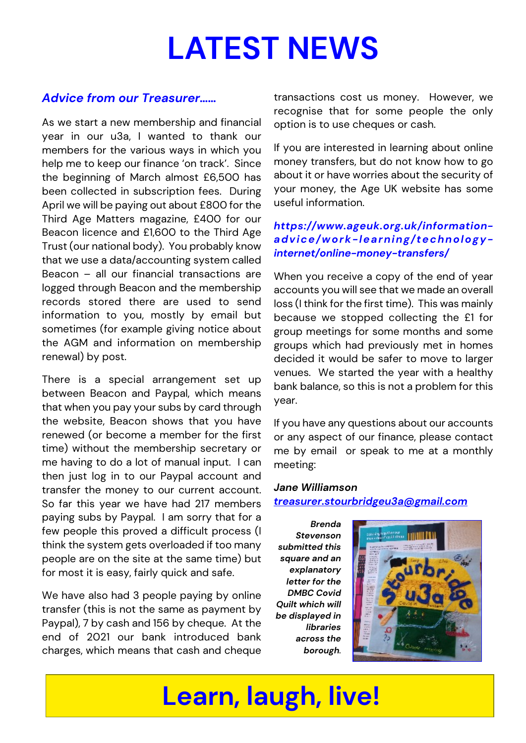# **LATEST NEWS**

### *Advice from our Treasurer……*

As we start a new membership and financial year in our u3a, I wanted to thank our members for the various ways in which you help me to keep our finance 'on track'. Since the beginning of March almost £6,500 has been collected in subscription fees. During April we will be paying out about £800 for the Third Age Matters magazine, £400 for our Beacon licence and £1,600 to the Third Age Trust (our national body). You probably know that we use a data/accounting system called Beacon – all our financial transactions are logged through Beacon and the membership records stored there are used to send information to you, mostly by email but sometimes (for example giving notice about the AGM and information on membership renewal) by post.

There is a special arrangement set up between Beacon and Paypal, which means that when you pay your subs by card through the website, Beacon shows that you have renewed (or become a member for the first time) without the membership secretary or me having to do a lot of manual input. I can then just log in to our Paypal account and transfer the money to our current account. So far this year we have had 217 members paying subs by Paypal. I am sorry that for a few people this proved a difficult process (I think the system gets overloaded if too many people are on the site at the same time) but for most it is easy, fairly quick and safe.

We have also had 3 people paying by online transfer (this is not the same as payment by Paypal), 7 by cash and 156 by cheque. At the end of 2021 our bank introduced bank charges, which means that cash and cheque

transactions cost us money. However, we recognise that for some people the only option is to use cheques or cash.

If you are interested in learning about online money transfers, but do not know how to go about it or have worries about the security of your money, the Age UK website has some useful information.

#### *[https://www.ageuk.org.uk/information](https://www.ageuk.org.uk/information-advice/work-learning/technology-internet/online-money-transfers/)[advice/work-learning/technology](https://www.ageuk.org.uk/information-advice/work-learning/technology-internet/online-money-transfers/)[internet/online-money-transfers/](https://www.ageuk.org.uk/information-advice/work-learning/technology-internet/online-money-transfers/)*

When you receive a copy of the end of year accounts you will see that we made an overall loss (I think for the first time). This was mainly because we stopped collecting the £1 for group meetings for some months and some groups which had previously met in homes decided it would be safer to move to larger venues. We started the year with a healthy bank balance, so this is not a problem for this year.

If you have any questions about our accounts or any aspect of our finance, please contact me by email or speak to me at a monthly meeting:

#### *Jane Williamson [treasurer.stourbridgeu3a@gmail.com](mailto:treasurer.stourbridgeu3a@gmail.com)*

*Brenda Stevenson submitted this square and an explanatory letter for the DMBC Covid Quilt which will be displayed in libraries across the borough.*



## **Learn, laugh, live!**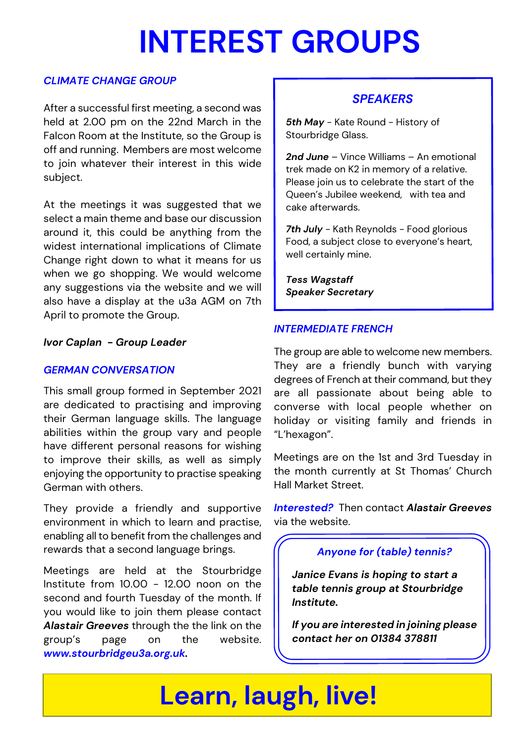# **INTEREST GROUPS**

#### *CLIMATE CHANGE GROUP*

After a successful first meeting, a second was held at 2.00 pm on the 22nd March in the Falcon Room at the Institute, so the Group is off and running. Members are most welcome to join whatever their interest in this wide subject.

At the meetings it was suggested that we select a main theme and base our discussion around it, this could be anything from the widest international implications of Climate Change right down to what it means for us when we go shopping. We would welcome any suggestions via the website and we will also have a display at the u3a AGM on 7th April to promote the Group.

*Ivor Caplan - Group Leader*

#### *GERMAN CONVERSATION*

This small group formed in September 2021 are dedicated to practising and improving their German language skills. The language abilities within the group vary and people have different personal reasons for wishing to improve their skills, as well as simply enjoying the opportunity to practise speaking German with others.

They provide a friendly and supportive environment in which to learn and practise, enabling all to benefit from the challenges and rewards that a second language brings.

Meetings are held at the Stourbridge Institute from 10.00 - 12.00 noon on the second and fourth Tuesday of the month. If you would like to join them please contact *Alastair Greeves* through the the link on the group's page on the website. *[www.stourbridgeu3a.org.uk.](www.stourbridgeu3a.org.uk/groups)*

### *SPEAKERS*

**5th May** - Kate Round - History of Stourbridge Glass.

*2nd June* – Vince Williams – An emotional trek made on K2 in memory of a relative. Please join us to celebrate the start of the Queen's Jubilee weekend, with tea and cake afterwards.

*7th July* - Kath Reynolds - Food glorious Food, a subject close to everyone's heart, well certainly mine.

*Tess Wagstaff Speaker Secretary*

#### *INTERMEDIATE FRENCH*

The group are able to welcome new members. They are a friendly bunch with varying degrees of French at their command, but they are all passionate about being able to converse with local people whether on holiday or visiting family and friends in "L'hexagon".

Meetings are on the 1st and 3rd Tuesday in the month currently at St Thomas' Church Hall Market Street.

*Interested?* Then contact *Alastair Greeves* via the website.

#### *Anyone for (table) tennis?*

*Janice Evans is hoping to start a table tennis group at Stourbridge Institute.*

*If you are interested in joining please contact her on 01384 378811*

## **Learn, laugh, live!**